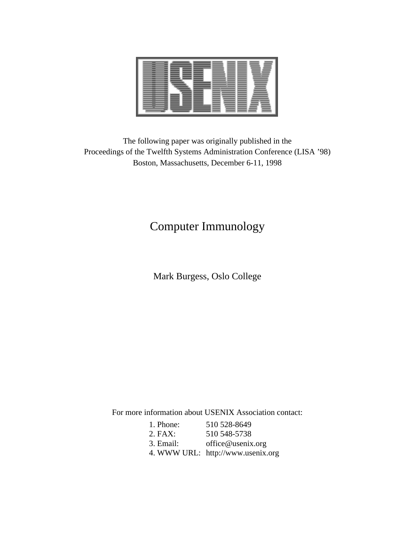

The following paper was originally published in the Proceedings of the Twelfth Systems Administration Conference (LISA '98) Boston, Massachusetts, December 6-11, 1998

## Computer Immunology

Mark Burgess, Oslo College

For more information about USENIX Association contact:

| 1. Phone: | 510 528-8649                      |
|-----------|-----------------------------------|
| $2.$ FAX: | 510 548-5738                      |
| 3. Email: | office@usenix.org                 |
|           | 4. WWW URL: http://www.usenix.org |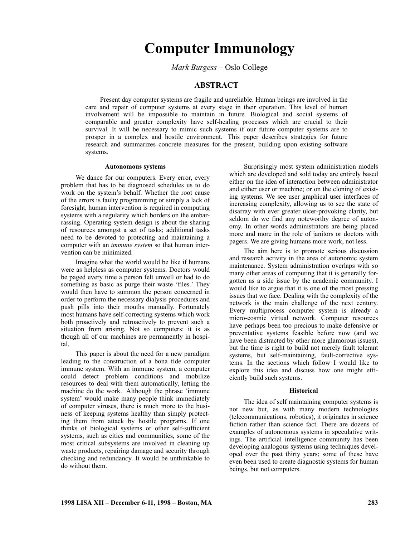# **Computer Immunology**

*Mark Burgess* – Oslo College

### **ABSTRACT**

Present day computer systems are fragile and unreliable. Human beings are involved in the care and repair of computer systems at every stage in their operation. This level of human involvement will be impossible to maintain in future. Biological and social systems of comparable and greater complexity have self-healing processes which are crucial to their survival. It will be necessary to mimic such systems if our future computer systems are to prosper in a complex and hostile environment. This paper describes strategies for future research and summarizes concrete measures for the present, building upon existing software systems.

#### **Autonomous systems**

We dance for our computers. Every error, every problem that has to be diagnosed schedules us to do work on the system's behalf. Whether the root cause of the errors is faulty programming or simply a lack of foresight, human intervention is required in computing systems with a regularity which borders on the embarrassing. Operating system design is about the sharing of resources amongst a set of tasks; additional tasks need to be devoted to protecting and maintaining a computer with an *immune system* so that human intervention can be minimized.

Imagine what the world would be like if humans were as helpless as computer systems. Doctors would be paged every time a person felt unwell or had to do something as basic as purge their waste 'files.' They would then have to summon the person concerned in order to perform the necessary dialysis procedures and push pills into their mouths manually. Fortunately most humans have self-correcting systems which work both proactively and retroactively to prevent such a situation from arising. Not so computers: it is as though all of our machines are permanently in hospital.

This paper is about the need for a new paradigm leading to the construction of a bona fide computer immune system. With an immune system, a computer could detect problem conditions and mobilize resources to deal with them automatically, letting the machine do the work. Although the phrase 'immune system' would make many people think immediately of computer viruses, there is much more to the business of keeping systems healthy than simply protecting them from attack by hostile programs. If one thinks of biological systems or other self-sufficient systems, such as cities and communities, some of the most critical subsystems are involved in cleaning up waste products, repairing damage and security through checking and redundancy. It would be unthinkable to do without them.

Surprisingly most system administration models which are developed and sold today are entirely based either on the idea of interaction between administrator and either user or machine; or on the cloning of existing systems. We see user graphical user interfaces of increasing complexity, allowing us to see the state of disarray with ever greater ulcer-provoking clarity, but seldom do we find any noteworthy degree of autonomy. In other words administrators are being placed more and more in the role of janitors or doctors with pagers. We are giving humans more work, not less.

The aim here is to promote serious discussion and research activity in the area of autonomic system maintenance. System administration overlaps with so many other areas of computing that it is generally forgotten as a side issue by the academic community. I would like to argue that it is one of the most pressing issues that we face. Dealing with the complexity of the network is the main challenge of the next century. Every multiprocess computer system is already a micro-cosmic virtual network. Computer resources have perhaps been too precious to make defensive or preventative systems feasible before now (and we have been distracted by other more glamorous issues), but the time is right to build not merely fault tolerant systems, but self-maintaining, fault-corrective systems. In the sections which follow I would like to explore this idea and discuss how one might efficiently build such systems.

### **Historical**

The idea of self maintaining computer systems is not new but, as with many modern technologies (telecommunications, robotics), it originates in science fiction rather than science fact. There are dozens of examples of autonomous systems in speculative writings. The artificial intelligence community has been developing analogous systems using techniques developed over the past thirty years; some of these have even been used to create diagnostic systems for human beings, but not computers.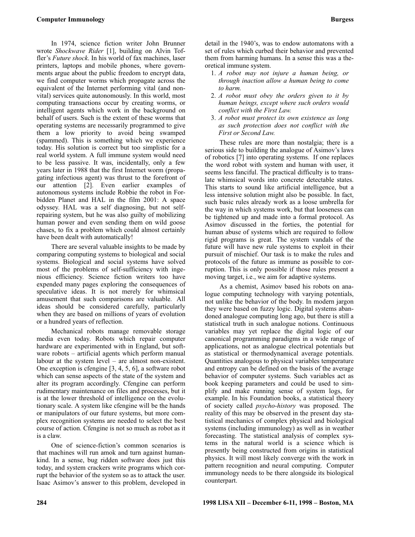In 1974, science fiction writer John Brunner wrote *Shockwave Rider* [1], building on Alvin Toffler 's *Future shock*. In his world of fax machines, laser printers, laptops and mobile phones, where governments argue about the public freedom to encrypt data, we find computer worms which propagate across the equivalent of the Internet performing vital (and nonvital) services quite autonomously. In this world, most computing transactions occur by creating worms, or intelligent agents which work in the background on behalf of users. Such is the extent of these worms that operating systems are necessarily programmed to give them a low priority to avoid being swamped (spammed). This is something which we experience today. His solution is correct but too simplistic for a real world system. A full immune system would need to be less passive. It was, incidentally, only a few years later in 1988 that the first Internet worm (propagating infectious agent) was thrust to the forefront of our attention [2]. Even earlier examples of autonomous systems include Robbie the robot in Forbidden Planet and HAL in the film 2001: A space odyssey. HAL was a self diagnosing, but not selfrepairing system, but he was also guilty of mobilizing human power and even sending them on wild goose chases, to fix a problem which could almost certainly have been dealt with automatically!

There are several valuable insights to be made by comparing computing systems to biological and social systems. Biological and social systems have solved most of the problems of self-sufficiency with ingenious efficiency. Science fiction writers too have expended many pages exploring the consequences of speculative ideas. It is not merely for whimsical amusement that such comparisons are valuable. All ideas should be considered carefully, particularly when they are based on millions of years of evolution or a hundred years of reflection.

Mechanical robots manage removable storage media even today. Robots which repair computer hardware are experimented with in England, but software robots – artificial agents which perform manual labour at the system level – are almost non-existent. One exception is cfengine [3, 4, 5, 6], a software robot which can sense aspects of the state of the system and alter its program accordingly. Cfengine can perform rudimentary maintenance on files and processes, but it is at the lower threshold of intelligence on the evolutionary scale. A system like cfengine will be the hands or manipulators of our future systems, but more complex recognition systems are needed to select the best course of action. Cfengine is not so much as robot as it is a claw.

One of science-fiction's common scenarios is that machines will run amok and turn against humankind. In a sense, bug ridden software does just this today, and system crackers write programs which corrupt the behavior of the system so as to attack the user. Isaac Asimov's answer to this problem, developed in detail in the 1940's, was to endow automatons with a set of rules which curbed their behavior and prevented them from harming humans. In a sense this was a theoretical immune system. 1. *A robot may not injure a human being, or*

- *through inaction allow a human being to come to harm.*
- 2. *A robot must obey the orders given to it by human beings, except where such orders would conflict with the First Law.*
- 3. *A robot must protect its own existence as long as such protection does not conflict with the First or Second Law.*

These rules are more than nostalgia; there is a serious side to building the analogue of Asimov's laws of robotics [7] into operating systems. If one replaces the word robot with system and human with user, it seems less fanciful. The practical difficulty is to translate whimsical words into concrete detectable states. This starts to sound like artificial intelligence, but a less intensive solution might also be possible. In fact, such basic rules already work as a loose umbrella for the way in which systems work, but that looseness can be tightened up and made into a formal protocol. As Asimov discussed in the forties, the potential for human abuse of systems which are required to follow rigid programs is great. The system vandals of the future will have new rule systems to exploit in their pursuit of mischief. Our task is to make the rules and protocols of the future as immune as possible to corruption. This is only possible if those rules present a moving target, i.e., we aim for adaptive systems.

As a chemist, Asimov based his robots on analogue computing technology with varying potentials, not unlike the behavior of the body. In modern jargon they were based on fuzzy logic. Digital systems abandoned analogue computing long ago, but there is still a statistical truth in such analogue notions. Continuous variables may yet replace the digital logic of our canonical programming paradigms in a wide range of applications, not as analogue electrical potentials but as statistical or thermodynamical average potentials. Quantities analogous to physical variables temperature and entropy can be defined on the basis of the average behavior of computer systems. Such variables act as book keeping parameters and could be used to simplify and make running sense of system logs, for example. In his Foundation books, a statistical theory of society called *psycho-history* was proposed. The reality of this may be observed in the present day statistical mechanics of complex physical and biological systems (including immunology) as well as in weather forecasting. The statistical analysis of complex systems in the natural world is a science which is presently being constructed from origins in statistical physics. It will most likely converge with the work in pattern recognition and neural computing. Computer immunology needs to be there alongside its biological counterpart.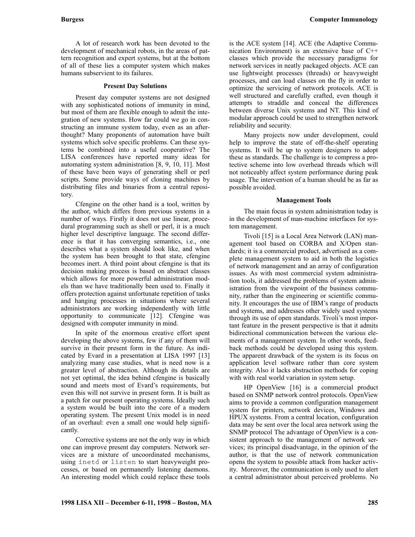A lot of research work has been devoted to the development of mechanical robots, in the areas of pattern recognition and expert systems, but at the bottom of all of these lies a computer system which makes humans subservient to its failures.

#### **Present Day Solutions**

Present day computer systems are not designed with any sophisticated notions of immunity in mind, but most of them are flexible enough to admit the integration of new systems. How far could we go in constructing an immune system today, even as an afterthought? Many proponents of automation have built systems which solve specific problems. Can these systems be combined into a useful cooperative? The LISA conferences have reported many ideas for automating system administration [8, 9, 10, 11]. Most of these have been ways of generating shell or perl scripts. Some provide ways of cloning machines by distributing files and binaries from a central repository.

Cfengine on the other hand is a tool, written by the author, which differs from previous systems in a number of ways. Firstly it does not use linear, procedural programming such as shell or perl, it is a much higher level descriptive language. The second difference is that it has converging semantics, i.e., one describes what a system should look like, and when the system has been brought to that state, cfengine becomes inert. A third point about cfengine is that its decision making process is based on abstract classes which allows for more powerful administration models than we have traditionally been used to. Finally it offers protection against unfortunate repetition of tasks and hanging processes in situations where several administrators are working independently with little opportunity to communicate [12]. Cfengine was designed with computer immunity in mind.

In spite of the enormous creative effort spent developing the above systems, few if any of them will survive in their present form in the future. As indicated by Evard in a presentation at LISA 1997 [13] analyzing many case studies, what is need now is a greater level of abstraction. Although its details are not yet optimal, the idea behind cfengine is basically sound and meets most of Evard's requirements, but even this will not survive in present form. It is built as a patch for our present operating systems. Ideally such a system would be built into the core of a modern operating system. The present Unix model is in need of an overhaul: even a small one would help significantly.

Corrective systems are not the only way in which one can improve present day computers. Network services are a mixture of uncoordinated mechanisms, using inetd or listen to start heavyweight processes, or based on permanently listening daemons. An interesting model which could replace these tools

is the ACE system [14]. ACE (the Adaptive Communication Environment) is an extensive base of C++ classes which provide the necessary paradigms for network services in neatly packaged objects. ACE can use lightweight processes (threads) or heavyweight processes, and can load classes on the fly in order to optimize the servicing of network protocols. ACE is well structured and carefully crafted, even though it attempts to straddle and conceal the differences between diverse Unix systems and NT. This kind of modular approach could be used to strengthen network reliability and security.

Many projects now under development, could help to improve the state of off-the-shelf operating systems. It will be up to system designers to adopt these as standards. The challenge is to compress a protective scheme into low overhead threads which will not noticeably affect system performance during peak usage. The intervention of a human should be as far as possible avoided.

#### **Management Tools**

The main focus in system administration today is in the development of man-machine interfaces for system management.

Tivoli [15] is a Local Area Network (LAN) management tool based on CORBA and X/Open standards; it is a commercial product, advertised as a complete management system to aid in both the logistics of network management and an array of configuration issues. As with most commercial system administration tools, it addressed the problems of system administration from the viewpoint of the business community, rather than the engineering or scientific community. It encourages the use of IBM's range of products and systems, and addresses other widely used systems through its use of open standards. Tivoli's most important feature in the present perspective is that it admits bidirectional communication between the various elements of a management system. In other words, feedback methods could be developed using this system. The apparent drawback of the system is its focus on application level software rather than core system integrity. Also it lacks abstraction methods for coping with with real world variation in system setup.

HP OpenView [16] is a commercial product based on SNMP network control protocols. OpenView aims to provide a common configuration management system for printers, network devices, Windows and HPUX systems. From a central location, configuration data may be sent over the local area network using the SNMP protocol The advantage of OpenView is a consistent approach to the management of network services; its principal disadvantage, in the opinion of the author, is that the use of network communication opens the system to possible attack from hacker activity. Moreover, the communication is only used to alert a central administrator about perceived problems. No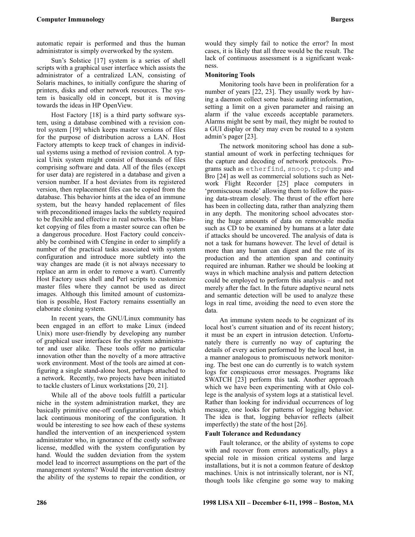automatic repair is performed and thus the human administrator is simply overworked by the system.

Sun's Solstice [17] system is a series of shell scripts with a graphical user interface which assists the administrator of a centralized LAN, consisting of Solaris machines, to initially configure the sharing of printers, disks and other network resources. The system is basically old in concept, but it is moving towards the ideas in HP OpenView.

Host Factory [18] is a third party software system, using a database combined with a revision control system [19] which keeps master versions of files for the purpose of distribution across a LAN. Host Factory attempts to keep track of changes in individual systems using a method of revision control. A typical Unix system might consist of thousands of files comprising software and data. All of the files (except for user data) are registered in a database and given a version number. If a host deviates from its registered version, then replacement files can be copied from the database. This behavior hints at the idea of an immune system, but the heavy handed replacement of files with preconditioned images lacks the subtlety required to be flexible and effective in real networks. The blanket copying of files from a master source can often be a dangerous procedure. Host Factory could conceivably be combined with Cfengine in order to simplify a number of the practical tasks associated with system configuration and introduce more subtlety into the way changes are made (it is not always necessary to replace an arm in order to remove a wart). Currently Host Factory uses shell and Perl scripts to customize master files where they cannot be used as direct images. Although this limited amount of customization is possible, Host Factory remains essentially an elaborate cloning system.

In recent years, the GNU/Linux community has been engaged in an effort to make Linux (indeed Unix) more user-friendly by developing any number of graphical user interfaces for the system administrator and user alike. These tools offer no particular innovation other than the novelty of a more attractive work environment. Most of the tools are aimed at configuring a single stand-alone host, perhaps attached to a network. Recently, two projects have been initiated to tackle clusters of Linux workstations [20, 21].

While all of the above tools fulfill a particular niche in the system administration market, they are basically primitive one-off configuration tools, which lack continuous monitoring of the configuration. It would be interesting to see how each of these systems handled the intervention of an inexperienced system administrator who, in ignorance of the costly software license, meddled with the system configuration by hand. Would the sudden deviation from the system model lead to incorrect assumptions on the part of the management systems? Would the intervention destroy the ability of the systems to repair the condition, or would they simply fail to notice the error? In most cases, it is likely that all three would be the result. The lack of continuous assessment is a significant weakness.

#### **Monitoring Tools**

Monitoring tools have been in proliferation for a number of years [22, 23]. They usually work by having a daemon collect some basic auditing information, setting a limit on a given parameter and raising an alarm if the value exceeds acceptable parameters. Alarms might be sent by mail, they might be routed to a GUI display or they may even be routed to a system admin's pager [23].

The network monitoring school has done a substantial amount of work in perfecting techniques for the capture and decoding of network protocols. Programs such as etherfind, snoop, tcpdump and Bro [24] as well as commercial solutions such as Network Flight Recorder [25] place computers in 'promiscuous mode' allowing them to follow the passing data-stream closely. The thrust of the effort here has been in collecting data, rather than analyzing them in any depth. The monitoring school advocates storing the huge amounts of data on removable media such as CD to be examined by humans at a later date if attacks should be uncovered. The analysis of data is not a task for humans however. The level of detail is more than any human can digest and the rate of its production and the attention span and continuity required are inhuman. Rather we should be looking at ways in which machine analysis and pattern detection could be employed to perform this analysis – and not merely after the fact. In the future adaptive neural nets and semantic detection will be used to analyze these logs in real time, avoiding the need to even store the data.

An immune system needs to be cognizant of its local host's current situation and of its recent history; it must be an expert in intrusion detection. Unfortunately there is currently no way of capturing the details of every action performed by the local host, in a manner analogous to promiscuous network monitoring. The best one can do currently is to watch system logs for conspicuous error messages. Programs like SWATCH [23] perform this task. Another approach which we have been experimenting with at Oslo college is the analysis of system logs at a statistical level. Rather than looking for individual occurrences of log message, one looks for patterns of logging behavior. The idea is that, logging behavior reflects (albeit imperfectly) the state of the host [26].

#### **Fault Tolerance and Redundancy**

Fault tolerance, or the ability of systems to cope with and recover from errors automatically, plays a special role in mission critical systems and large installations, but it is not a common feature of desktop machines. Unix is not intrinsically tolerant, nor is NT, though tools like cfengine go some way to making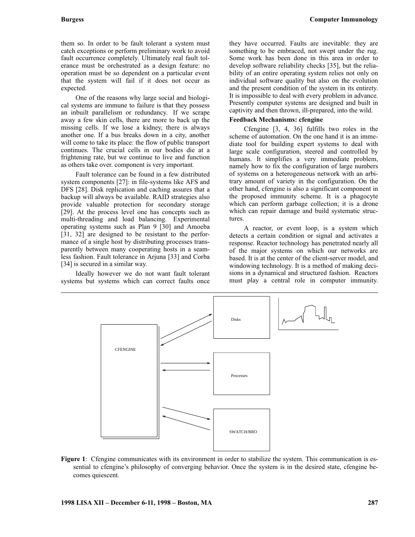them so. In order to be fault tolerant a system must catch exceptions or perform preliminary work to avoid fault occurrence completely. Ultimately real fault tolerance must be orchestrated as a design feature: no operation must be so dependent on a particular event that the system will fail if it does not occur as expected.

One of the reasons why large social and biological systems are immune to failure is that they possess an inbuilt parallelism or redundancy. If we scrape away a few skin cells, there are more to back up the missing cells. If we lose a kidney, there is always another one. If a bus breaks down in a city, another will come to take its place: the flow of public transport continues. The crucial cells in our bodies die at a frightening rate, but we continue to live and function as others take over. component is very important.

Fault tolerance can be found in a few distributed system components [27]: in file-systems like AFS and DFS [28]. Disk replication and caching assures that a backup will always be available. RAID strategies also provide valuable protection for secondary storage [29]. At the process level one has concepts such as multi-threading and load balancing. Experimental operating systems such as Plan 9 [30] and Amoeba [31, 32] are designed to be resistant to the performance of a single host by distributing processes transparently between many cooperating hosts in a seamless fashion. Fault tolerance in Arjuna [33] and Corba [34] is secured in a similar way.

Ideally however we do not want fault tolerant systems but systems which can correct faults once

they have occurred. Faults are inevitable: they are something to be embraced, not swept under the rug. Some work has been done in this area in order to develop software reliability checks [35], but the reliability of an entire operating system relies not only on individual software quality but also on the evolution and the present condition of the system in its entirety. It is impossible to deal with every problem in advance. Presently computer systems are designed and built in captivity and then thrown, ill-prepared, into the wild.

### **Feedback Mechanisms: cfengine**

Cfengine [3, 4, 36] fulfills two roles in the scheme of automation. On the one hand it is an immediate tool for building expert systems to deal with large scale configuration, steered and controlled by humans. It simplifies a very immediate problem, namely how to fix the configuration of large numbers of systems on a heterogeneous network with an arbitrary amount of variety in the configuration. On the other hand, cfengine is also a significant component in the proposed immunity scheme. It is a phagocyte which can perform garbage collection; it is a drone which can repair damage and build systematic structures.

A reactor, or event loop, is a system which detects a certain condition or signal and activates a response. Reactor technology has penetrated nearly all of the major systems on which our networks are based. It is at the center of the client-server model, and windowing technology. It is a method of making decisions in a dynamical and structured fashion. Reactors must play a central role in computer immunity.



Figure 1: Cfengine communicates with its environment in order to stabilize the system. This communication is essential to cfengine's philosophy of converging behavior. Once the system is in the desired state, cfengine becomes quiescent.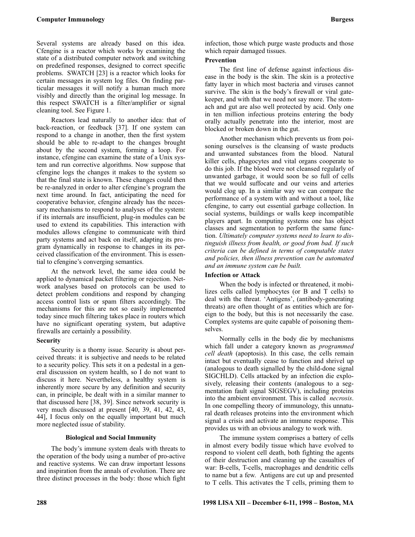Several systems are already based on this idea. Cfengine is a reactor which works by examining the state of a distributed computer network and switching on predefined responses, designed to correct specific problems. SWATCH [23] is a reactor which looks for certain messages in system log files. On finding particular messages it will notify a human much more visibly and directly than the original log message. In this respect SWATCH is a filter/amplifier or signal cleaning tool. See Figure 1.

Reactors lead naturally to another idea: that of back-reaction, or feedback [37]. If one system can respond to a change in another, then the first system should be able to re-adapt to the changes brought about by the second system, forming a loop. For instance, cfengine can examine the state of a Unix system and run corrective algorithms. Now suppose that cfengine logs the changes it makes to the system so that the final state is known. These changes could then be re-analyzed in order to alter cfengine's program the next time around. In fact, anticipating the need for cooperative behavior, cfengine already has the necessary mechanisms to respond to analyses of the system: if its internals are insufficient, plug-in modules can be used to extend its capabilities. This interaction with modules allows cfengine to communicate with third party systems and act back on itself, adapting its program dynamically in response to changes in its perceived classification of the environment. This is essential to cfengine's converging semantics.

At the network level, the same idea could be applied to dynamical packet filtering or rejection. Network analyses based on protocols can be used to detect problem conditions and respond by changing access control lists or spam filters accordingly. The mechanisms for this are not so easily implemented today since much filtering takes place in routers which have no significant operating system, but adaptive firewalls are certainly a possibility.

#### **Security**

Security is a thorny issue. Security is about perceived threats: it is subjective and needs to be related to a security policy. This sets it on a pedestal in a general discussion on system health, so I do not want to discuss it here. Nevertheless, a healthy system is inherently more secure by any definition and security can, in principle, be dealt with in a similar manner to that discussed here [38, 39]. Since network security is very much discussed at present [40, 39, 41, 42, 43, 44], I focus only on the equally important but much more neglected issue of stability.

#### **Biological and Social Immunity**

The body's immune system deals with threats to the operation of the body using a number of pro-active and reactive systems. We can draw important lessons and inspiration from the annals of evolution. There are three distinct processes in the body: those which fight infection, those which purge waste products and those which repair damaged tissues.

#### **Prevention**

The first line of defense against infectious disease in the body is the skin. The skin is a protective fatty layer in which most bacteria and viruses cannot survive. The skin is the body's firewall or viral gatekeeper, and with that we need not say more. The stomach and gut are also well protected by acid. Only one in ten million infectious proteins entering the body orally actually penetrate into the interior, most are blocked or broken down in the gut.

Another mechanism which prevents us from poisoning ourselves is the cleansing of waste products and unwanted substances from the blood. Natural killer cells, phagocytes and vital organs cooperate to do this job. If the blood were not cleansed regularly of unwanted garbage, it would soon be so full of cells that we would suffocate and our veins and arteries would clog up. In a similar way we can compare the performance of a system with and without a tool, like cfengine, to carry out essential garbage collection. In social systems, buildings or walls keep incompatible players apart. In computing systems one has object classes and segmentation to perform the same function. *Ultimately computer systems need to learn to distinguish illness from health, or good from bad. If such criteria can be defined in terms of computable states and policies, then illness prevention can be automated and an immune system can be built.*

#### **Infection or Attack**

When the body is infected or threatened, it mobilizes cells called lymphocytes (or B and T cells) to deal with the threat. 'Antigens', (antibody-generating threats) are often thought of as entities which are foreign to the body, but this is not necessarily the case. Complex systems are quite capable of poisoning themselves.

Normally cells in the body die by mechanisms which fall under a category known as *programmed cell death* (apoptosis). In this case, the cells remain intact but eventually cease to function and shrivel up (analogous to death signalled by the child-done signal SIGCHLD). Cells attacked by an infection die explosively, releasing their contents (analogous to a segmentation fault signal SIGSEGV), including proteins into the ambient environment. This is called *necrosis*. In one compelling theory of immunology, this unnatural death releases proteins into the environment which signal a crisis and activate an immune response. This provides us with an obvious analogy to work with.

The immune system comprises a battery of cells in almost every bodily tissue which have evolved to respond to violent cell death, both fighting the agents of their destruction and cleaning up the casualties of war: B-cells, T-cells, macrophages and dendritic cells to name but a few. Antigens are cut up and presented to T cells. This activates the T cells, priming them to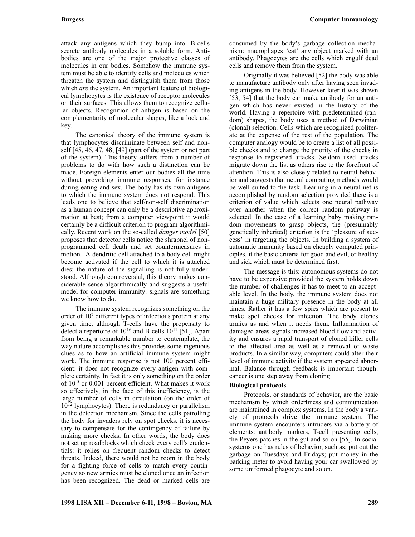**Burgess Computer Immunology**

attack any antigens which they bump into. B-cells secrete antibody molecules in a soluble form. Antibodies are one of the major protective classes of molecules in our bodies. Somehow the immune system must be able to identify cells and molecules which threaten the system and distinguish them from those which *are* the system. An important feature of biological lymphocytes is the existence of receptor molecules on their surfaces. This allows them to recognize cellular objects. Recognition of antigen is based on the complementarity of molecular shapes, like a lock and key.

The canonical theory of the immune system is that lymphocytes discriminate between self and nonself [45, 46, 47, 48, [49] (part of the system or not part of the system). This theory suffers from a number of problems to do with how such a distinction can be made. Foreign elements enter our bodies all the time without provoking immune responses, for instance during eating and sex. The body has its own antigens to which the immune system does not respond. This leads one to believe that self/non-self discrimination as a human concept can only be a descriptive approximation at best; from a computer viewpoint it would certainly be a difficult criterion to program algorithmically. Recent work on the so-called *danger model* [50] proposes that detector cells notice the shrapnel of nonprogrammed cell death and set countermeasures in motion. A dendritic cell attached to a body cell might become activated if the cell to which it is attached dies; the nature of the signalling is not fully understood. Although controversial, this theory makes considerable sense algorithmically and suggests a useful model for computer immunity: signals are something we know how to do.

The immune system recognizes something on the order of 107 different types of infectious protein at any given time, although T-cells have the propensity to detect a repertoire of  $10^{16}$  and B-cells  $10^{11}$  [51]. Apart from being a remarkable number to contemplate, the way nature accomplishes this provides some ingenious clues as to how an artificial immune system might work. The immune response is not 100 percent efficient: it does not recognize every antigen with complete certainty. In fact it is only something on the order of 10-5 or 0.001 percent efficient. What makes it work so effectively, in the face of this inefficiency, is the large number of cells in circulation (on the order of  $10^{12}$  lymphocytes). There is redundancy or parallelism in the detection mechanism. Since the cells patrolling the body for invaders rely on spot checks, it is necessary to compensate for the contingency of failure by making more checks. In other words, the body does not set up roadblocks which check every cell's credentials: it relies on frequent random checks to detect threats. Indeed, there would not be room in the body for a fighting force of cells to match every contingency so new armies must be cloned once an infection has been recognized. The dead or marked cells are

consumed by the body's garbage collection mechanism: macrophages 'eat' any object marked with an antibody. Phagocytes are the cells which engulf dead cells and remove them from the system.

Originally it was believed [52] the body was able to manufacture antibody only after having seen invading antigens in the body. However later it was shown [53, 54] that the body can make antibody for an antigen which has never existed in the history of the world. Having a repertoire with predetermined (random) shapes, the body uses a method of Darwinian (clonal) selection. Cells which are recognized proliferate at the expense of the rest of the population. The computer analogy would be to create a list of all possible checks and to change the priority of the checks in response to registered attacks. Seldom used attacks migrate down the list as others rise to the forefront of attention. This is also closely related to neural behavior and suggests that neural computing methods would be well suited to the task. Learning in a neural net is accomplished by random selection provided there is a criterion of value which selects one neural pathway over another when the correct random pathway is selected. In the case of a learning baby making random movements to grasp objects, the (presumably genetically inherited) criterion is the 'pleasure of success' in targeting the objects. In building a system of automatic immunity based on cheaply computed principles, it the basic criteria for good and evil, or healthy and sick which must be determined first.

The message is this: autonomous systems do not have to be expensive provided the system holds down the number of challenges it has to meet to an acceptable level. In the body, the immune system does not maintain a huge military presence in the body at all times. Rather it has a few spies which are present to make spot checks for infection. The body clones armies as and when it needs them. Inflammation of damaged areas signals increased blood flow and activity and ensures a rapid transport of cloned killer cells to the affected area as well as a removal of waste products. In a similar way, computers could alter their level of immune activity if the system appeared abnormal. Balance through feedback is important though: cancer is one step away from cloning.

#### **Biological protocols**

Protocols, or standards of behavior, are the basic mechanism by which orderliness and communication are maintained in complex systems. In the body a variety of protocols drive the immune system. The immune system encounters intruders via a battery of elements: antibody markers, T-cell presenting cells, the Peyers patches in the gut and so on [55]. In social systems one has rules of behavior, such as: put out the garbage on Tuesdays and Fridays; put money in the parking meter to avoid having your car swallowed by some uniformed phagocyte and so on.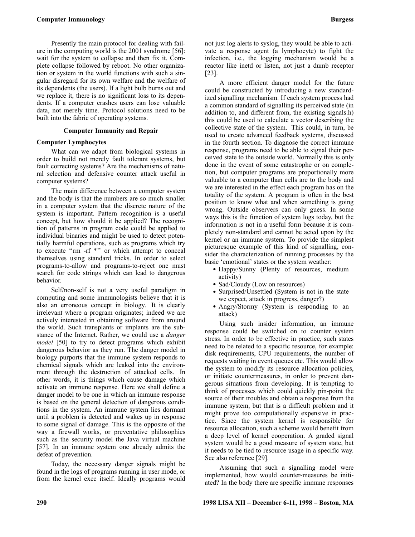Presently the main protocol for dealing with failure in the computing world is the 2001 syndrome [56]: wait for the system to collapse and then fix it. Complete collapse followed by reboot. No other organization or system in the world functions with such a singular disregard for its own welfare and the welfare of its dependents (the users). If a light bulb burns out and we replace it, there is no significant loss to its dependents. If a computer crashes users can lose valuable data, not merely time. Protocol solutions need to be built into the fabric of operating systems.

#### **Computer Immunity and Repair**

#### **Computer Lymphocytes**

What can we adapt from biological systems in order to build not merely fault tolerant systems, but fault correcting systems? Are the mechanisms of natural selection and defensive counter attack useful in computer systems?

The main difference between a computer system and the body is that the numbers are so much smaller in a computer system that the discrete nature of the system is important. Pattern recognition is a useful concept, but how should it be applied? The recognition of patterns in program code could be applied to individual binaries and might be used to detect potentially harmful operations, such as programs which try to execute "rm -rf \*" or which attempt to conceal themselves using standard tricks. In order to select programs-to-allow and programs-to-reject one must search for code strings which can lead to dangerous behavior.

Self/non-self is not a very useful paradigm in computing and some immunologists believe that it is also an erroneous concept in biology. It is clearly irrelevant where a program originates; indeed we are actively interested in obtaining software from around the world. Such transplants or implants are the substance of the Internet. Rather, we could use a *danger model* [50] to try to detect programs which exhibit dangerous behavior as they run. The danger model in biology purports that the immune system responds to chemical signals which are leaked into the environment through the destruction of attacked cells. In other words, it is things which cause damage which activate an immune response. Here we shall define a danger model to be one in which an immune response is based on the general detection of dangerous conditions in the system. An immune system lies dormant until a problem is detected and wakes up in response to some signal of damage. This is the opposite of the way a firewall works, or preventative philosophies such as the security model the Java virtual machine [57]. In an immune system one already admits the defeat of prevention.

Today, the necessary danger signals might be found in the logs of programs running in user mode, or from the kernel exec itself. Ideally programs would not just log alerts to syslog, they would be able to activate a response agent (a lymphocyte) to fight the infection, i.e., the logging mechanism would be a reactor like inetd or listen, not just a dumb receptor [23].

A more efficient danger model for the future could be constructed by introducing a new standardized signalling mechanism. If each system process had a common standard of signalling its perceived state (in addition to, and different from, the existing signals.h) this could be used to calculate a vector describing the collective state of the system. This could, in turn, be used to create advanced feedback systems, discussed in the fourth section. To diagnose the correct immune response, programs need to be able to signal their perceived state to the outside world. Normally this is only done in the event of some catastrophe or on completion, but computer programs are proportionally more valuable to a computer than cells are to the body and we are interested in the effect each program has on the totality of the system. A program is often in the best position to know what and when something is going wrong. Outside observers can only guess. In some ways this is the function of system logs today, but the information is not in a useful form because it is completely non-standard and cannot be acted upon by the kernel or an immune system. To provide the simplest picturesque example of this kind of signalling, consider the characterization of running processes by the basic 'emotional' states or the system weather:

- Happy/Sunny (Plenty of resources, medium activity)
- Sad/Cloudy (Low on resources)
- Surprised/Unsettled (System is not in the state we expect, attack in progress, danger?)
- Angry/Stormy (System is responding to an attack)

Using such insider information, an immune response could be switched on to counter system stress. In order to be effective in practice, such states need to be related to a specific resource, for example: disk requirements, CPU requirements, the number of requests waiting in event queues etc. This would allow the system to modify its resource allocation policies, or initiate countermeasures, in order to prevent dangerous situations from developing. It is tempting to think of processes which could quickly pin-point the source of their troubles and obtain a response from the immune system, but that is a difficult problem and it might prove too computationally expensive in practice. Since the system kernel is responsible for resource allocation, such a scheme would benefit from a deep level of kernel cooperation. A graded signal system would be a good measure of system state, but it needs to be tied to resource usage in a specific way. See also reference [29].

Assuming that such a signalling model were implemented, how would counter-measures be initiated? In the body there are specific immune responses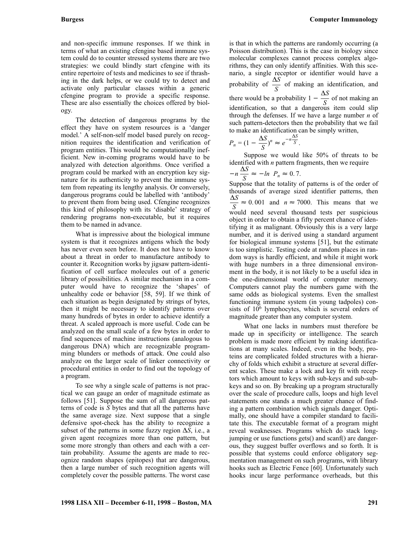and non-specific immune responses. If we think in terms of what an existing cfengine based immune system could do to counter stressed systems there are two strategies: we could blindly start cfengine with its entire repertoire of tests and medicines to see if thrashing in the dark helps, or we could try to detect and activate only particular classes within a generic cfengine program to provide a specific response. These are also essentially the choices offered by biology.

The detection of dangerous programs by the effect they have on system resources is a 'danger model.' A self-non-self model based purely on recognition requires the identification and verification of program entities. This would be computationally inefficient. New in-coming programs would have to be analyzed with detection algorithms. Once verified a program could be marked with an encryption key signature for its authenticity to prevent the immune system from repeating its lengthy analysis. Or conversely, dangerous programs could be labelled with 'antibody' to prevent them from being used. Cfengine recognizes this kind of philosophy with its 'disable' strategy of rendering programs non-executable, but it requires them to be named in advance.

What is impressive about the biological immune system is that it recognizes antigens which the body has never even seen before. It does not have to know about a threat in order to manufacture antibody to counter it. Recognition works by jigsaw pattern-identification of cell surface molecules out of a generic library of possibilities. A similar mechanism in a computer would have to recognize the 'shapes' of unhealthy code or behavior [58, 59]. If we think of each situation as begin designated by strings of bytes, then it might be necessary to identify patterns over many hundreds of bytes in order to achieve identify a threat. A scaled approach is more useful. Code can be analyzed on the small scale of a few bytes in order to find sequences of machine instructions (analogous to dangerous DNA) which are recognizable programming blunders or methods of attack. One could also analyze on the larger scale of linker connectivity or procedural entities in order to find out the topology of a program.

To see why a single scale of patterns is not practical we can gauge an order of magnitude estimate as follows [51]. Suppose the sum of all dangerous patterns of code is *S* bytes and that all the patterns have the same average size. Next suppose that a single defensive spot-check has the ability to recognize a subset of the patterns in some fuzzy region ∆*S*, i.e., a given agent recognizes more than one pattern, but some more strongly than others and each with a certain probability. Assume the agents are made to recognize random shapes (epitopes) that are dangerous, then a large number of such recognition agents will completely cover the possible patterns. The worst case is that in which the patterns are randomly occurring (a Poisson distribution). This is the case in biology since molecular complexes cannot process complex algorithms, they can only identify affinities. With this scenario, a single receptor or identifier would have a probability of  $\frac{\Delta S}{S}$  of making an identification, and there would be a probability  $1 - \frac{\Delta S}{S}$  of not making an identification, so that a dangerous item could slip through the defenses. If we have a large number *n* of such pattern-detectors then the probability that we fail to make an identification can be simply written, ∆*S*

$$
P_n = (1 - \frac{\Delta S}{S})^n \approx e^{-n\frac{\Delta S}{S}}.
$$

Suppose we would like 50% of threats to be identified with *n* pattern fragments, then we require

$$
-n\frac{\Delta S}{S} \approx -\ln\left(P_n \approx 0.7\right)
$$

 $-n \frac{m}{S} \approx -\ln P_n \approx 0.7$ .<br>Suppose that the totality of patterns is of the order of thousands of average sized identifier patterns, then  $\frac{\Delta S}{S} \approx 0.001$  and  $n \approx 7000$ . This means that we would need several thousand tests per suspicious object in order to obtain a fifty percent chance of identifying it as malignant. Obviously this is a very large number, and it is derived using a standard argument for biological immune systems [51], but the estimate is too simplistic. Testing code at random places in random ways is hardly efficient, and while it might work with huge numbers in a three dimensional environment in the body, it is not likely to be a useful idea in the one-dimensional world of computer memory. Computers cannot play the numbers game with the same odds as biological systems. Even the smallest functioning immune system (in young tadpoles) consists of  $10^6$  lymphocytes, which is several orders of magnitude greater than any computer system.

What one lacks in numbers must therefore be made up in specificity or intelligence. The search problem is made more efficient by making identifications at many scales. Indeed, even in the body, proteins are complicated folded structures with a hierarchy of folds which exhibit a structure at several different scales. These make a lock and key fit with receptors which amount to keys with sub-keys and sub-subkeys and so on. By breaking up a program structurally over the scale of procedure calls, loops and high level statements one stands a much greater chance of finding a pattern combination which signals danger. Optimally, one should have a compiler standard to facilitate this. The executable format of a program might reveal weaknesses. Programs which do stack longjumping or use functions gets() and scanf() are dangerous, they suggest buffer overflows and so forth. It is possible that systems could enforce obligatory segmentation management on such programs, with library hooks such as Electric Fence [60]. Unfortunately such hooks incur large performance overheads, but this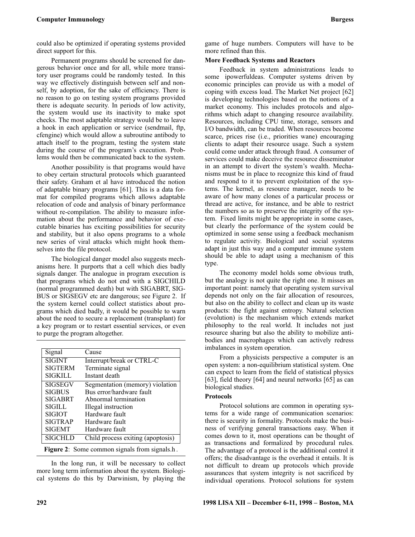could also be optimized if operating systems provided direct support for this.

Permanent programs should be screened for dangerous behavior once and for all, while more transitory user programs could be randomly tested. In this way we effectively distinguish between self and nonself, by adoption, for the sake of efficiency. There is no reason to go on testing system programs provided there is adequate security. In periods of low activity, the system would use its inactivity to make spot checks. The most adaptable strategy would be to leave a hook in each application or service (sendmail, ftp, cfengine) which would allow a subroutine antibody to attach itself to the program, testing the system state during the course of the program's execution. Problems would then be communicated back to the system.

Another possibility is that programs would have to obey certain structural protocols which guaranteed their safety. Graham et al have introduced the notion of adaptable binary programs [61]. This is a data format for compiled programs which allows adaptable relocation of code and analysis of binary performance without re-compilation. The ability to measure information about the performance and behavior of executable binaries has exciting possibilities for security and stability, but it also opens programs to a whole new series of viral attacks which might hook themselves into the file protocol.

The biological danger model also suggests mechanisms here. It purports that a cell which dies badly signals danger. The analogue in program execution is that programs which do not end with a SIGCHILD (normal programmed death) but with SIGABRT, SIG-BUS or SIGSEGV etc are dangerous; see Figure 2. If the system kernel could collect statistics about programs which died badly, it would be possible to warn about the need to secure a replacement (transplant) for a key program or to restart essential services, or even to purge the program altogether.

| Signal                                        | Cause                             |  |
|-----------------------------------------------|-----------------------------------|--|
| <b>SIGINT</b>                                 | Interrupt/break or CTRL-C         |  |
| <b>SIGTERM</b>                                | Terminate signal                  |  |
| SIGKILL                                       | Instant death                     |  |
| <b>SIGSEGV</b>                                | Segmentation (memory) violation   |  |
| <b>SIGBUS</b>                                 | Bus error/hardware fault          |  |
| <b>SIGABRT</b>                                | Abnormal termination              |  |
| SIGILL                                        | Illegal instruction               |  |
| SIGIOT                                        | Hardware fault                    |  |
| <b>SIGTRAP</b>                                | Hardware fault                    |  |
| <b>SIGEMT</b>                                 | Hardware fault                    |  |
| <b>SIGCHLD</b>                                | Child process exiting (apoptosis) |  |
| Figure 2: Some common signals from signals.h. |                                   |  |

In the long run, it will be necessary to collect more long term information about the system. Biological systems do this by Darwinism, by playing the game of huge numbers. Computers will have to be more refined than this.

#### **More Feedback Systems and Reactors**

Feedback in system administrations leads to some ipowerfuldeas. Computer systems driven by economic principles can provide us with a model of coping with excess load. The Market Net project [62] is developing technologies based on the notions of a market economy. This includes protocols and algorithms which adapt to changing resource availability. Resources, including CPU time, storage, sensors and I/O bandwidth, can be traded. When resources become scarce, prices rise (i.e., priorities wane) encouraging clients to adapt their resource usage. Such a system could come under attack through fraud. A consumer of services could make deceive the resource disseminator in an attempt to divert the system's wealth. Mechanisms must be in place to recognize this kind of fraud and respond to it to prevent exploitation of the systems. The kernel, as resource manager, needs to be aware of how many clones of a particular process or thread are active, for instance, and be able to restrict the numbers so as to preserve the integrity of the system. Fixed limits might be appropriate in some cases, but clearly the performance of the system could be optimized in some sense using a feedback mechanism to regulate activity. Biological and social systems adapt in just this way and a computer immune system should be able to adapt using a mechanism of this type.

The economy model holds some obvious truth, but the analogy is not quite the right one. It misses an important point: namely that operating system survival depends not only on the fair allocation of resources, but also on the ability to collect and clean up its waste products: the fight against entropy. Natural selection (evolution) is the mechanism which extends market philosophy to the real world. It includes not just resource sharing but also the ability to mobilize antibodies and macrophages which can actively redress imbalances in system operation.

From a physicists perspective a computer is an open system: a non-equilibrium statistical system. One can expect to learn from the field of statistical physics [63], field theory [64] and neural networks [65] as can biological studies.

#### **Protocols**

Protocol solutions are common in operating systems for a wide range of communication scenarios: there is security in formality. Protocols make the business of verifying general transactions easy. When it comes down to it, most operations can be thought of as transactions and formalized by procedural rules. The advantage of a protocol is the additional control it offers; the disadvantage is the overhead it entails. It is not difficult to dream up protocols which provide assurances that system integrity is not sacrificed by individual operations. Protocol solutions for system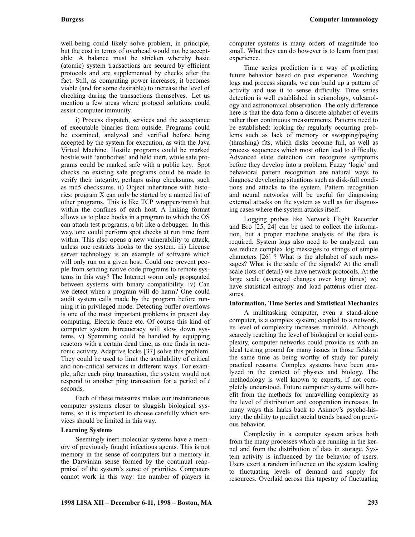**Burgess Computer Immunology**

well-being could likely solve problem, in principle, but the cost in terms of overhead would not be acceptable. A balance must be stricken whereby basic (atomic) system transactions are secured by efficient protocols and are supplemented by checks after the fact. Still, as computing power increases, it becomes viable (and for some desirable) to increase the level of checking during the transactions themselves. Let us mention a few areas where protocol solutions could assist computer immunity.

i) Process dispatch, services and the acceptance of executable binaries from outside. Programs could be examined, analyzed and verified before being accepted by the system for execution, as with the Java Virtual Machine. Hostile programs could be marked hostile with 'antibodies' and held inert, while safe programs could be marked safe with a public key. Spot checks on existing safe programs could be made to verify their integrity, perhaps using checksums, such as md5 checksums. ii) Object inheritance with histories: program X can only be started by a named list of other programs. This is like TCP wrappers/rsmsh but within the confines of each host. A linking format allows us to place hooks in a program to which the OS can attach test programs, a bit like a debugger. In this way, one could perform spot checks at run time from within. This also opens a new vulnerability to attack, unless one restricts hooks to the system. iii) License server technology is an example of software which will only run on a given host. Could one prevent people from sending native code programs to remote systems in this way? The Internet worm only propagated between systems with binary compatibility. iv) Can we detect when a program will do harm? One could audit system calls made by the program before running it in privileged mode. Detecting buffer overflows is one of the most important problems in present day computing. Electric fence etc. Of course this kind of computer system bureaucracy will slow down systems. v) Spamming could be handled by equipping reactors with a certain dead time, as one finds in neuronic activity. Adaptive locks [37] solve this problem. They could be used to limit the availability of critical and non-critical services in different ways. For example, after each ping transaction, the system would not respond to another ping transaction for a period of *t* seconds.

Each of these measures makes our instantaneous computer systems closer to sluggish biological systems, so it is important to choose carefully which services should be limited in this way.

#### **Learning Systems**

Seemingly inert molecular systems have a memory of previously fought infectious agents. This is not memory in the sense of computers but a memory in the Darwinian sense formed by the continual reappraisal of the system's sense of priorities. Computers cannot work in this way: the number of players in

computer systems is many orders of magnitude too small. What they can do however is to learn from past experience.

Time series prediction is a way of predicting future behavior based on past experience. Watching logs and process signals, we can build up a pattern of activity and use it to sense difficulty. Time series detection is well established in seismology, vulcanology and astronomical observation. The only difference here is that the data form a discrete alphabet of events rather than continuous measurements. Patterns need to be established: looking for regularly occurring problems such as lack of memory or swapping/paging (thrashing) fits, which disks become full, as well as process sequences which most often lead to difficulty. Advanced state detection can recognize symptoms before they develop into a problem. Fuzzy 'logic' and behavioral pattern recognition are natural ways to diagnose developing situations such as disk-full conditions and attacks to the system. Pattern recognition and neural networks will be useful for diagnosing external attacks on the system as well as for diagnosing cases where the system attacks itself.

Logging probes like Network Flight Recorder and Bro [25, 24] can be used to collect the information, but a proper machine analysis of the data is required. System logs also need to be analyzed: can we reduce complex log messages to strings of simple characters [26] ? What is the alphabet of such messages? What is the scale of the signals? At the small scale (lots of detail) we have network protocols. At the large scale (averaged changes over long times) we have statistical entropy and load patterns other measures.

#### **Information, Time Series and Statistical Mechanics**

A multitasking computer, even a stand-alone computer, is a complex system; coupled to a network, its level of complexity increases manifold. Although scarcely reaching the level of biological or social complexity, computer networks could provide us with an ideal testing ground for many issues in those fields at the same time as being worthy of study for purely practical reasons. Complex systems have been analyzed in the context of physics and biology. The methodology is well known to experts, if not completely understood. Future computer systems will benefit from the methods for unravelling complexity as the level of distribution and cooperation increases. In many ways this harks back to Asimov's psycho-history: the ability to predict social trends based on previous behavior.

Complexity in a computer system arises both from the many processes which are running in the kernel and from the distribution of data in storage. System activity is influenced by the behavior of users. Users exert a random influence on the system leading to fluctuating levels of demand and supply for resources. Overlaid across this tapestry of fluctuating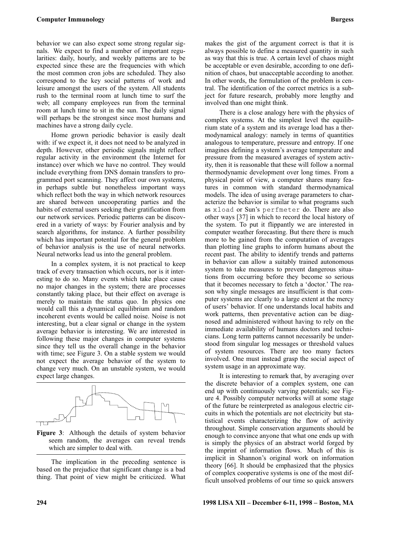behavior we can also expect some strong regular signals. We expect to find a number of important regularities: daily, hourly, and weekly patterns are to be expected since these are the frequencies with which the most common cron jobs are scheduled. They also correspond to the key social patterns of work and leisure amongst the users of the system. All students rush to the terminal room at lunch time to surf the web; all company employees run from the terminal room at lunch time to sit in the sun. The daily signal will perhaps be the strongest since most humans and machines have a strong daily cycle.

Home grown periodic behavior is easily dealt with: if we expect it, it does not need to be analyzed in depth. However, other periodic signals might reflect regular activity in the environment (the Internet for instance) over which we have no control. They would include everything from DNS domain transfers to programmed port scanning. They affect our own systems, in perhaps subtle but nonetheless important ways which reflect both the way in which network resources are shared between uncooperating parties and the habits of external users seeking their gratification from our network services. Periodic patterns can be discovered in a variety of ways: by Fourier analysis and by search algorithms, for instance. A further possibility which has important potential for the general problem of behavior analysis is the use of neural networks. Neural networks lead us into the general problem.

In a complex system, it is not practical to keep track of every transaction which occurs, nor is it interesting to do so. Many events which take place cause no major changes in the system; there are processes constantly taking place, but their effect on average is merely to maintain the status quo. In physics one would call this a dynamical equilibrium and random incoherent events would be called noise. Noise is not interesting, but a clear signal or change in the system average behavior is interesting. We are interested in following these major changes in computer systems since they tell us the overall change in the behavior with time; see Figure 3. On a stable system we would not expect the average behavior of the system to change very much. On an unstable system, we would expect large changes.



**Figure 3**: Although the details of system behavior seem random, the averages can reveal trends which are simpler to deal with.

The implication in the preceding sentence is based on the prejudice that significant change is a bad thing. That point of view might be criticized. What makes the gist of the argument correct is that it is always possible to define a measured quantity in such as way that this is true. A certain level of chaos might be acceptable or even desirable, according to one definition of chaos, but unacceptable according to another. In other words, the formulation of the problem is central. The identification of the correct metrics is a subject for future research, probably more lengthy and involved than one might think.

There is a close analogy here with the physics of complex systems. At the simplest level the equilibrium state of a system and its average load has a thermodynamical analogy: namely in terms of quantities analogous to temperature, pressure and entropy. If one imagines defining a system's average temperature and pressure from the measured averages of system activity, then it is reasonable that these will follow a normal thermodynamic development over long times. From a physical point of view, a computer shares many features in common with standard thermodynamical models. The idea of using average parameters to characterize the behavior is similar to what programs such as xload or Sun's perfmeter do. There are also other ways [37] in which to record the local history of the system. To put it flippantly we are interested in computer weather forecasting. But there there is much more to be gained from the computation of averages than plotting line graphs to inform humans about the recent past. The ability to identify trends and patterns in behavior can allow a suitably trained autonomous system to take measures to prevent dangerous situations from occurring before they become so serious that it becomes necessary to fetch a 'doctor.' The reason why single messages are insufficient is that computer systems are clearly to a large extent at the mercy of users' behavior. If one understands local habits and work patterns, then preventative action can be diagnosed and administered without having to rely on the immediate availability of humans doctors and technicians. Long term patterns cannot necessarily be understood from singular log messages or threshold values of system resources. There are too many factors involved. One must instead grasp the social aspect of system usage in an approximate way.

It is interesting to remark that, by averaging over the discrete behavior of a complex system, one can end up with continuously varying potentials; see Figure 4. Possibly computer networks will at some stage of the future be reinterpreted as analogous electric circuits in which the potentials are not electricity but statistical events characterizing the flow of activity throughout. Simple conservation arguments should be enough to convince anyone that what one ends up with is simply the physics of an abstract world forged by the imprint of information flows. Much of this is implicit in Shannon's original work on information theory [66]. It should be emphasized that the physics of complex cooperative systems is one of the most difficult unsolved problems of our time so quick answers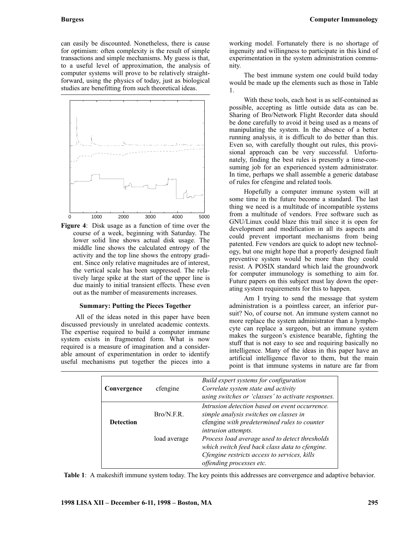can easily be discounted. Nonetheless, there is cause for optimism: often complexity is the result of simple transactions and simple mechanisms. My guess is that, to a useful level of approximation, the analysis of computer systems will prove to be relatively straightforward, using the physics of today, just as biological studies are benefitting from such theoretical ideas.



**Figure 4**: Disk usage as a function of time over the course of a week, beginning with Saturday. The lower solid line shows actual disk usage. The middle line shows the calculated entropy of the activity and the top line shows the entropy gradient. Since only relative magnitudes are of interest, the vertical scale has been suppressed. The relatively large spike at the start of the upper line is due mainly to initial transient effects. These even out as the number of measurements increases.

#### **Summary: Putting the Pieces Together**

All of the ideas noted in this paper have been discussed previously in unrelated academic contexts. The expertise required to build a computer immune system exists in fragmented form. What is now required is a measure of imagination and a considerable amount of experimentation in order to identify useful mechanisms put together the pieces into a working model. Fortunately there is no shortage of ingenuity and willingness to participate in this kind of experimentation in the system administration community.

The best immune system one could build today would be made up the elements such as those in Table 1.

With these tools, each host is as self-contained as possible, accepting as little outside data as can be. Sharing of Bro/Network Flight Recorder data should be done carefully to avoid it being used as a means of manipulating the system. In the absence of a better running analysis, it is difficult to do better than this. Even so, with carefully thought out rules, this provisional approach can be very successful. Unfortunately, finding the best rules is presently a time-consuming job for an experienced system administrator. In time, perhaps we shall assemble a generic database of rules for cfengine and related tools.

Hopefully a computer immune system will at some time in the future become a standard. The last thing we need is a multitude of incompatible systems from a multitude of vendors. Free software such as GNU/Linux could blaze this trail since it is open for development and modification in all its aspects and could prevent important mechanisms from being patented. Few vendors are quick to adopt new technology, but one might hope that a properly designed fault preventive system would be more than they could resist. A POSIX standard which laid the groundwork for computer immunology is something to aim for. Future papers on this subject must lay down the operating system requirements for this to happen.

Am I trying to send the message that system administration is a pointless career, an inferior pursuit? No, of course not. An immune system cannot no more replace the system administrator than a lymphocyte can replace a surgeon, but an immune system makes the surgeon's existence bearable, fighting the stuff that is not easy to see and requiring basically no intelligence. Many of the ideas in this paper have an artificial intelligence flavor to them, but the main point is that immune systems in nature are far from

| Convergence      | cfengine     | Build expert systems for configuration<br>Correlate system state and activity<br>using switches or 'classes' to activate responses.                                          |
|------------------|--------------|------------------------------------------------------------------------------------------------------------------------------------------------------------------------------|
| <b>Detection</b> | Bro/N.F.R.   | Intrusion detection based on event occurrence.<br>simple analysis switches on classes in<br>cfengine with predetermined rules to counter<br>intrusion attempts.              |
|                  | load average | Process load average used to detect thresholds<br>which switch feed back class data to cfengine.<br>Cfengine restricts access to services, kills<br>offending processes etc. |

**Table 1**: A makeshift immune system today. The key points this addresses are convergence and adaptive behavior.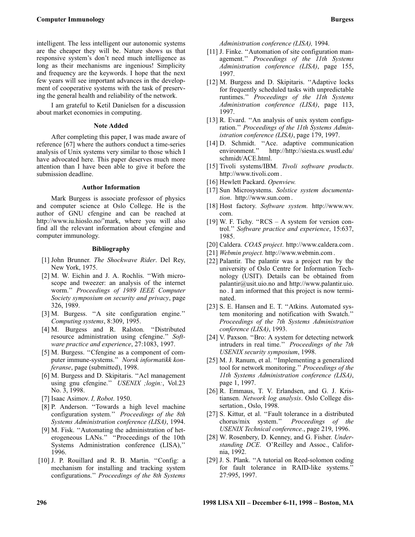intelligent. The less intelligent our autonomic systems are the cheaper they will be. Nature shows us that responsive system's don't need much intelligence as long as their mechanisms are ingenious! Simplicity and frequency are the keywords. I hope that the next few years will see important advances in the development of cooperative systems with the task of preserving the general health and reliability of the network.

I am grateful to Ketil Danielsen for a discussion about market economies in computing.

#### **Note Added**

After completing this paper, I was made aware of reference [67] where the authors conduct a time-series analysis of Unix systems very similar to those which I have advocated here. This paper deserves much more attention than I have been able to give it before the submission deadline.

#### **Author Information**

Mark Burgess is associate professor of physics and computer science at Oslo College. He is the author of GNU cfengine and can be reached at http://www.iu.hioslo.no/˜mark, where you will also find all the relevant information about cfengine and computer immunology.

#### **Bibliography**

- [1] John Brunner. *The Shockwave Rider*. Del Rey, New York, 1975.
- [2] M. W. Eichin and J. A. Rochlis. ''With microscope and tweezer: an analysis of the internet worm.'' *Proceedings of 1989 IEEE Computer Society symposium on security and privacy*, page 326, 1989.
- [3] M. Burgess. "A site configuration engine." *Computing systems*, 8:309, 1995.
- [4] M. Burgess and R. Ralston. ''Distributed resource administration using cfengine.'' *Software practice and experience*, 27:1083, 1997.
- [5] M. Burgess. "Cfengine as a component of computer immune-systems.'' *Norsk informatikk konferanse*, page (submitted), 1998.
- [6] M. Burgess and D. Skipitaris. "Acl management using gnu cfengine.'' *USENIX ;login:*, Vol.23 No. 3, 1998.
- [7] Isaac Asimov. *I, Robot*. 1950.
- [8] P. Anderson. ''Towards a high level machine configuration system.'' *Proceedings of the 8th Systems Administration conference (LISA)*, 1994.
- [9] M. Fisk. ''Automating the administration of heterogeneous LANs.'' ''Proceedings of the 10th Systems Administration conference (LISA),'' 1996.
- [10] J. P. Rouillard and R. B. Martin. "Config: a mechanism for installing and tracking system configurations.'' *Proceedings of the 8th Systems*

*Administration conference (LISA),* 1994.

- [11] J. Finke. "Automation of site configuration management.'' *Proceedings of the 11th Systems Administration conference (LISA)*, page 155, 1997.
- [12] M. Burgess and D. Skipitaris. "Adaptive locks for frequently scheduled tasks with unpredictable runtimes.'' *Proceedings of the 11th Systems Administration conference (LISA)*, page 113, 1997.
- [13] R. Evard. "An analysis of unix system configuration.'' *Proceedings of the 11th Systems Administration conference (LISA)*, page 179, 1997.
- [14] D. Schmidt. "Ace. adaptive communication environment.'' http://http://siesta.cs.wustl.edu/ schmidt/ACE.html.
- [15] Tivoli systems/IBM. *Tivoli software products*. http://www.tivoli.com .
- [16] Hewlett Packard. *Openview.*
- [17] Sun Microsystems. *Solstice system documentation*. http://www.sun.com .
- [18] Host factory. *Software system.* http://www.wv. com.
- [19] W. F. Tichy. " $RCS A$  system for version control.'' *Software practice and experience*, 15:637, 1985.
- [20] Caldera. *COAS project*. http://www.caldera.com .
- [21] *Webmin project.* http://www.webmin.com .
- [22] Palantir. The palantir was a project run by the university of Oslo Centre for Information Technology (USIT). Details can be obtained from palantir@usit.uio.no and http://www.palantir.uio. no . I am informed that this project is now terminated.
- [23] S. E. Hansen and E. T. "Atkins. Automated system monitoring and notification with Swatch.'' *Proceedings of the 7th Systems Administration conference (LISA)*, 1993.
- [24] V. Paxson. "Bro: A system for detecting network intruders in real time.'' *Proceedings of the 7th USENIX security symposium*, 1998.
- [25] M. J. Ranum, et al. ''Implementing a generalized tool for network monitoring.'' *Proceedings of the 11th Systems Administration conference (LISA)*, page 1, 1997.
- [26] R. Emmaus, T. V. Erlandsen, and G. J. Kristiansen. *Network log analysis*. Oslo College dissertation., Oslo, 1998.
- [27] S. Kittur, et al. "Fault tolerance in a distributed chorus/mix system.'' *Proceedings of the USENIX Technical conference.*, page 219, 1996.
- [28] W. Rosenbery, D. Kenney, and G. Fisher. *Understanding DCE*. O'Reilley and Assoc., California, 1992.
- [29] J. S. Plank. "A tutorial on Reed-solomon coding for fault tolerance in RAID-like systems.'' 27:995, 1997.